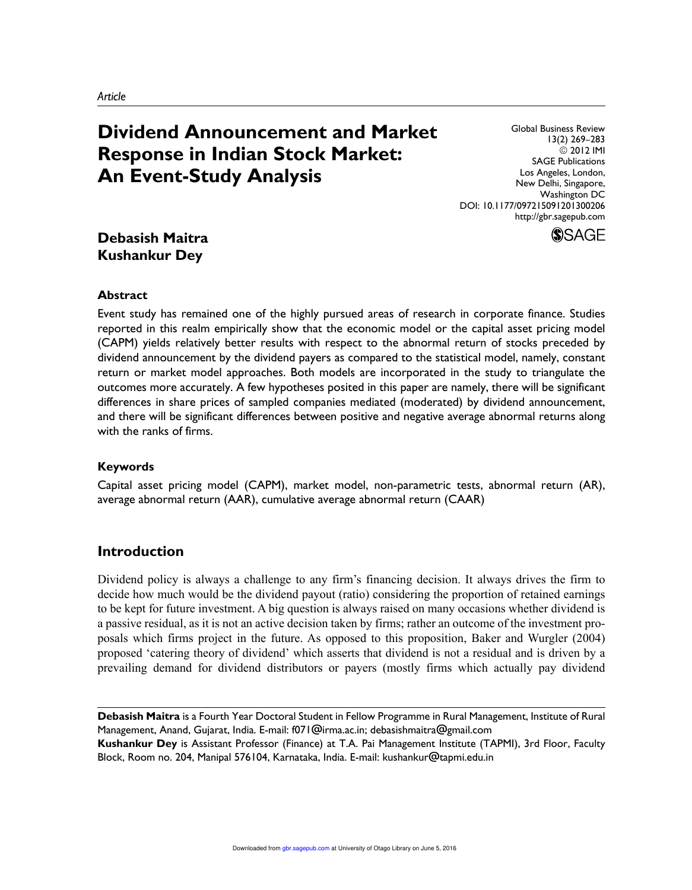# **Dividend Announcement and Market Response in Indian Stock Market: An Event-Study Analysis**

Global Business Review 13(2) 269–283 © 2012 IMI SAGE Publications Los Angeles, London, New Delhi, Singapore, Washington DC DOI: 10.1177/097215091201300206 http://gbr.sagepub.com



# **Debasish Maitra Kushankur Dey**

### **Abstract**

Event study has remained one of the highly pursued areas of research in corporate finance. Studies reported in this realm empirically show that the economic model or the capital asset pricing model (CAPM) yields relatively better results with respect to the abnormal return of stocks preceded by dividend announcement by the dividend payers as compared to the statistical model, namely, constant return or market model approaches. Both models are incorporated in the study to triangulate the outcomes more accurately. A few hypotheses posited in this paper are namely, there will be significant differences in share prices of sampled companies mediated (moderated) by dividend announcement, and there will be significant differences between positive and negative average abnormal returns along with the ranks of firms.

### **Keywords**

Capital asset pricing model (CAPM), market model, non-parametric tests, abnormal return (AR), average abnormal return (AAR), cumulative average abnormal return (CAAR)

# **Introduction**

Dividend policy is always a challenge to any firm's financing decision. It always drives the firm to decide how much would be the dividend payout (ratio) considering the proportion of retained earnings to be kept for future investment. A big question is always raised on many occasions whether dividend is a passive residual, as it is not an active decision taken by firms; rather an outcome of the investment proposals which firms project in the future. As opposed to this proposition, Baker and Wurgler (2004) proposed 'catering theory of dividend' which asserts that dividend is not a residual and is driven by a prevailing demand for dividend distributors or payers (mostly firms which actually pay dividend

**Debasish Maitra** is a Fourth Year Doctoral Student in Fellow Programme in Rural Management, Institute of Rural Management, Anand, Gujarat, India. E-mail: f071@irma.ac.in; debasishmaitra@gmail.com **Kushankur Dey** is Assistant Professor (Finance) at T.A. Pai Management Institute (TAPMI), 3rd Floor, Faculty Block, Room no. 204, Manipal 576104, Karnataka, India. E-mail: kushankur@tapmi.edu.in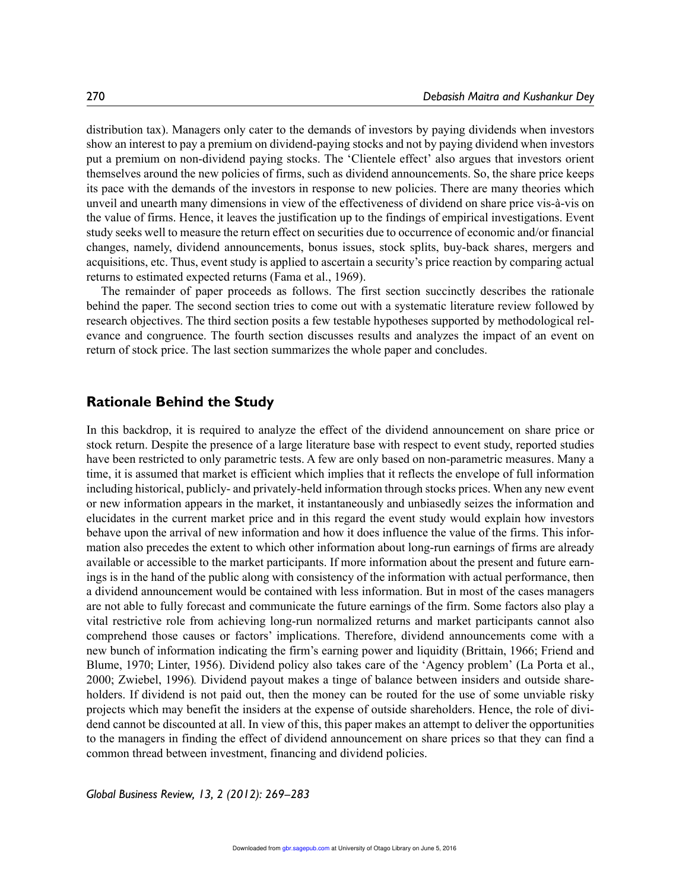distribution tax). Managers only cater to the demands of investors by paying dividends when investors show an interest to pay a premium on dividend-paying stocks and not by paying dividend when investors put a premium on non-dividend paying stocks. The 'Clientele effect' also argues that investors orient themselves around the new policies of firms, such as dividend announcements. So, the share price keeps its pace with the demands of the investors in response to new policies. There are many theories which unveil and unearth many dimensions in view of the effectiveness of dividend on share price vis-à-vis on the value of firms. Hence, it leaves the justification up to the findings of empirical investigations. Event study seeks well to measure the return effect on securities due to occurrence of economic and/or financial changes, namely, dividend announcements, bonus issues, stock splits, buy-back shares, mergers and acquisitions, etc. Thus, event study is applied to ascertain a security's price reaction by comparing actual returns to estimated expected returns (Fama et al., 1969).

The remainder of paper proceeds as follows. The first section succinctly describes the rationale behind the paper. The second section tries to come out with a systematic literature review followed by research objectives. The third section posits a few testable hypotheses supported by methodological relevance and congruence. The fourth section discusses results and analyzes the impact of an event on return of stock price. The last section summarizes the whole paper and concludes.

#### **Rationale Behind the Study**

In this backdrop, it is required to analyze the effect of the dividend announcement on share price or stock return. Despite the presence of a large literature base with respect to event study, reported studies have been restricted to only parametric tests. A few are only based on non-parametric measures. Many a time, it is assumed that market is efficient which implies that it reflects the envelope of full information including historical, publicly- and privately-held information through stocks prices. When any new event or new information appears in the market, it instantaneously and unbiasedly seizes the information and elucidates in the current market price and in this regard the event study would explain how investors behave upon the arrival of new information and how it does influence the value of the firms. This information also precedes the extent to which other information about long-run earnings of firms are already available or accessible to the market participants. If more information about the present and future earnings is in the hand of the public along with consistency of the information with actual performance, then a dividend announcement would be contained with less information. But in most of the cases managers are not able to fully forecast and communicate the future earnings of the firm. Some factors also play a vital restrictive role from achieving long-run normalized returns and market participants cannot also comprehend those causes or factors' implications. Therefore, dividend announcements come with a new bunch of information indicating the firm's earning power and liquidity (Brittain, 1966; Friend and Blume, 1970; Linter, 1956). Dividend policy also takes care of the 'Agency problem' (La Porta et al., 2000; Zwiebel, 1996)*.* Dividend payout makes a tinge of balance between insiders and outside shareholders. If dividend is not paid out, then the money can be routed for the use of some unviable risky projects which may benefit the insiders at the expense of outside shareholders. Hence, the role of dividend cannot be discounted at all. In view of this, this paper makes an attempt to deliver the opportunities to the managers in finding the effect of dividend announcement on share prices so that they can find a common thread between investment, financing and dividend policies.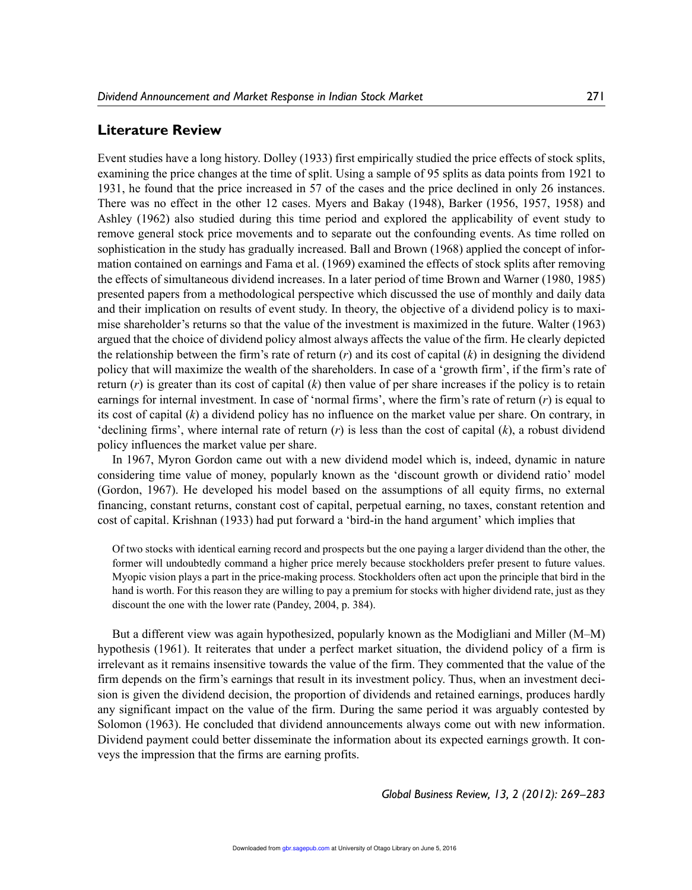### **Literature Review**

Event studies have a long history. Dolley (1933) first empirically studied the price effects of stock splits, examining the price changes at the time of split. Using a sample of 95 splits as data points from 1921 to 1931, he found that the price increased in 57 of the cases and the price declined in only 26 instances. There was no effect in the other 12 cases. Myers and Bakay (1948), Barker (1956, 1957, 1958) and Ashley (1962) also studied during this time period and explored the applicability of event study to remove general stock price movements and to separate out the confounding events. As time rolled on sophistication in the study has gradually increased. Ball and Brown (1968) applied the concept of information contained on earnings and Fama et al. (1969) examined the effects of stock splits after removing the effects of simultaneous dividend increases. In a later period of time Brown and Warner (1980, 1985) presented papers from a methodological perspective which discussed the use of monthly and daily data and their implication on results of event study. In theory, the objective of a dividend policy is to maximise shareholder's returns so that the value of the investment is maximized in the future. Walter (1963) argued that the choice of dividend policy almost always affects the value of the firm. He clearly depicted the relationship between the firm's rate of return  $(r)$  and its cost of capital  $(k)$  in designing the dividend policy that will maximize the wealth of the shareholders. In case of a 'growth firm', if the firm's rate of return  $(r)$  is greater than its cost of capital  $(k)$  then value of per share increases if the policy is to retain earnings for internal investment. In case of 'normal firms', where the firm's rate of return (*r*) is equal to its cost of capital (*k*) a dividend policy has no influence on the market value per share. On contrary, in 'declining firms', where internal rate of return  $(r)$  is less than the cost of capital  $(k)$ , a robust dividend policy influences the market value per share.

In 1967, Myron Gordon came out with a new dividend model which is, indeed, dynamic in nature considering time value of money, popularly known as the 'discount growth or dividend ratio' model (Gordon, 1967). He developed his model based on the assumptions of all equity firms, no external financing, constant returns, constant cost of capital, perpetual earning, no taxes, constant retention and cost of capital. Krishnan (1933) had put forward a 'bird-in the hand argument' which implies that

Of two stocks with identical earning record and prospects but the one paying a larger dividend than the other, the former will undoubtedly command a higher price merely because stockholders prefer present to future values. Myopic vision plays a part in the price-making process. Stockholders often act upon the principle that bird in the hand is worth. For this reason they are willing to pay a premium for stocks with higher dividend rate, just as they discount the one with the lower rate (Pandey, 2004, p. 384).

But a different view was again hypothesized, popularly known as the Modigliani and Miller (M–M) hypothesis (1961). It reiterates that under a perfect market situation, the dividend policy of a firm is irrelevant as it remains insensitive towards the value of the firm. They commented that the value of the firm depends on the firm's earnings that result in its investment policy. Thus, when an investment decision is given the dividend decision, the proportion of dividends and retained earnings, produces hardly any significant impact on the value of the firm. During the same period it was arguably contested by Solomon (1963). He concluded that dividend announcements always come out with new information. Dividend payment could better disseminate the information about its expected earnings growth. It conveys the impression that the firms are earning profits.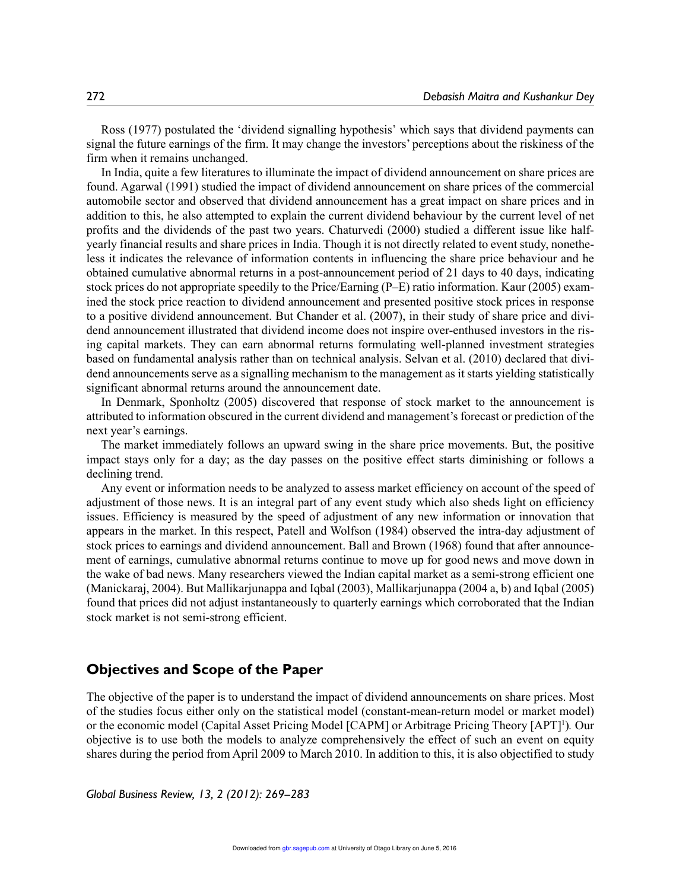Ross (1977) postulated the 'dividend signalling hypothesis' which says that dividend payments can signal the future earnings of the firm. It may change the investors' perceptions about the riskiness of the firm when it remains unchanged.

In India, quite a few literatures to illuminate the impact of dividend announcement on share prices are found. Agarwal (1991) studied the impact of dividend announcement on share prices of the commercial automobile sector and observed that dividend announcement has a great impact on share prices and in addition to this, he also attempted to explain the current dividend behaviour by the current level of net profits and the dividends of the past two years. Chaturvedi (2000) studied a different issue like halfyearly financial results and share prices in India. Though it is not directly related to event study, nonetheless it indicates the relevance of information contents in influencing the share price behaviour and he obtained cumulative abnormal returns in a post-announcement period of 21 days to 40 days, indicating stock prices do not appropriate speedily to the Price/Earning (P–E) ratio information. Kaur (2005) examined the stock price reaction to dividend announcement and presented positive stock prices in response to a positive dividend announcement. But Chander et al. (2007), in their study of share price and dividend announcement illustrated that dividend income does not inspire over-enthused investors in the rising capital markets. They can earn abnormal returns formulating well-planned investment strategies based on fundamental analysis rather than on technical analysis. Selvan et al. (2010) declared that dividend announcements serve as a signalling mechanism to the management as it starts yielding statistically significant abnormal returns around the announcement date.

In Denmark, Sponholtz (2005) discovered that response of stock market to the announcement is attributed to information obscured in the current dividend and management's forecast or prediction of the next year's earnings.

The market immediately follows an upward swing in the share price movements. But, the positive impact stays only for a day; as the day passes on the positive effect starts diminishing or follows a declining trend.

Any event or information needs to be analyzed to assess market efficiency on account of the speed of adjustment of those news. It is an integral part of any event study which also sheds light on efficiency issues. Efficiency is measured by the speed of adjustment of any new information or innovation that appears in the market. In this respect, Patell and Wolfson (1984) observed the intra-day adjustment of stock prices to earnings and dividend announcement. Ball and Brown (1968) found that after announcement of earnings, cumulative abnormal returns continue to move up for good news and move down in the wake of bad news. Many researchers viewed the Indian capital market as a semi-strong efficient one (Manickaraj, 2004). But Mallikarjunappa and Iqbal (2003), Mallikarjunappa (2004 a, b) and Iqbal (2005) found that prices did not adjust instantaneously to quarterly earnings which corroborated that the Indian stock market is not semi-strong efficient.

### **Objectives and Scope of the Paper**

The objective of the paper is to understand the impact of dividend announcements on share prices. Most of the studies focus either only on the statistical model (constant-mean-return model or market model) or the economic model (Capital Asset Pricing Model [CAPM] or Arbitrage Pricing Theory [APT]<sup>1</sup>). Our objective is to use both the models to analyze comprehensively the effect of such an event on equity shares during the period from April 2009 to March 2010. In addition to this, it is also objectified to study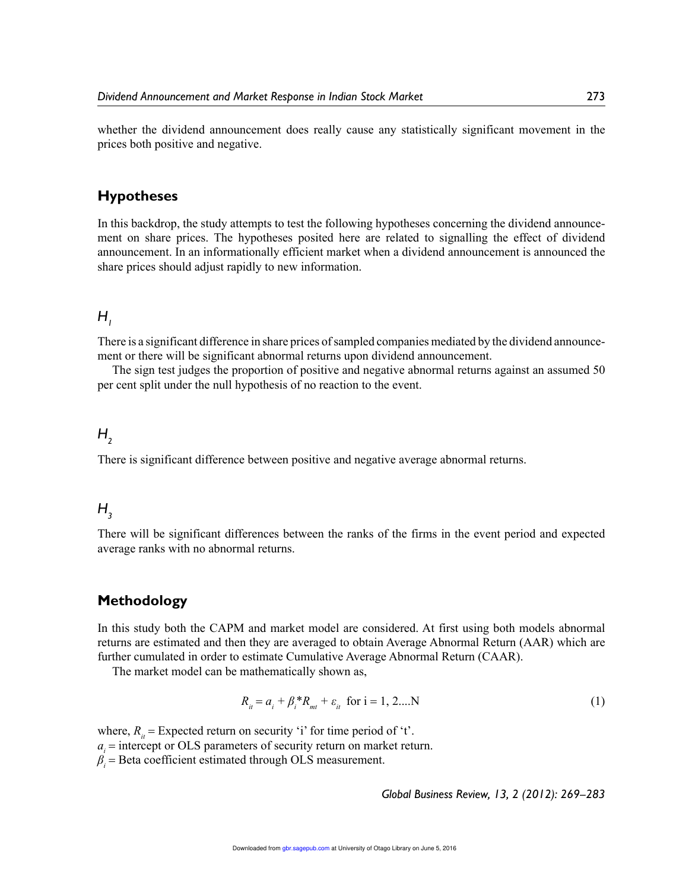whether the dividend announcement does really cause any statistically significant movement in the prices both positive and negative.

# **Hypotheses**

In this backdrop, the study attempts to test the following hypotheses concerning the dividend announcement on share prices. The hypotheses posited here are related to signalling the effect of dividend announcement. In an informationally efficient market when a dividend announcement is announced the share prices should adjust rapidly to new information.

# *H1*

There is a significant difference in share prices of sampled companies mediated by the dividend announcement or there will be significant abnormal returns upon dividend announcement.

The sign test judges the proportion of positive and negative abnormal returns against an assumed 50 per cent split under the null hypothesis of no reaction to the event.

# *H2*

There is significant difference between positive and negative average abnormal returns.

# *H3*

There will be significant differences between the ranks of the firms in the event period and expected average ranks with no abnormal returns.

# **Methodology**

In this study both the CAPM and market model are considered. At first using both models abnormal returns are estimated and then they are averaged to obtain Average Abnormal Return (AAR) which are further cumulated in order to estimate Cumulative Average Abnormal Return (CAAR).

The market model can be mathematically shown as,

$$
R_{ii} = a_i + \beta_i^* R_{mi} + \varepsilon_{ii} \text{ for } i = 1, 2...N
$$
 (1)

where,  $R_{ii}$  = Expected return on security 'i' for time period of 't'.  $a_i$  = intercept or OLS parameters of security return on market return.  $\beta$ <sup>*i*</sup></sup> = Beta coefficient estimated through OLS measurement.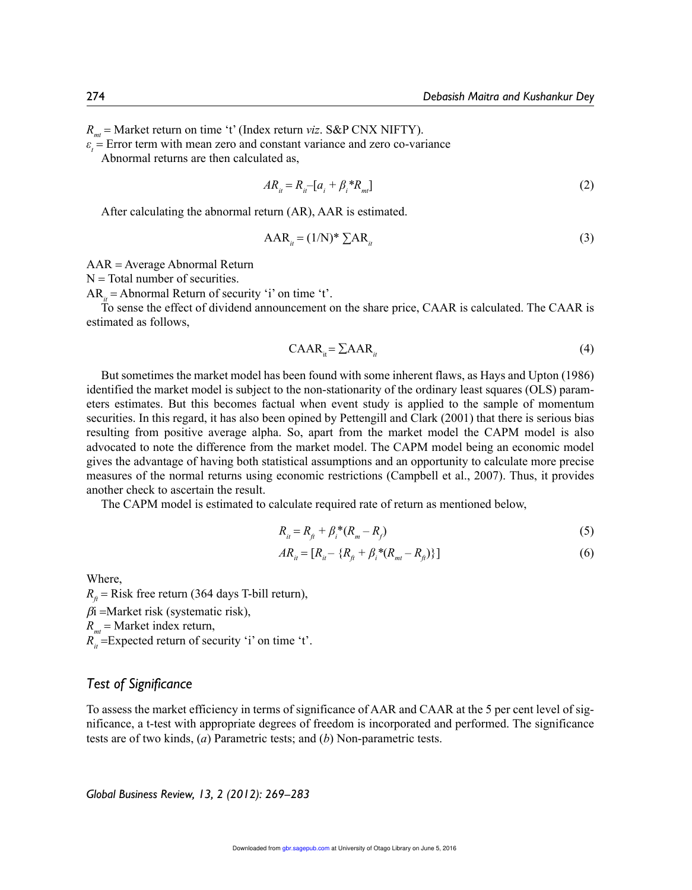*Rmt* = Market return on time 't' (Index return *viz*. S&P CNX NIFTY).

 $\epsilon$ <sup>*t*</sup></sup> = Error term with mean zero and constant variance and zero co-variance

Abnormal returns are then calculated as,

$$
AR_{ii} = R_{ii} - [a_i + \beta_i^* R_{mi}]
$$
 (2)

After calculating the abnormal return (AR), AAR is estimated.

$$
AAR_{ii} = (1/N)^* \sum AR_{ii}
$$
 (3)

AAR = Average Abnormal Return

 $N = Total number of securities.$ 

 $AR_{it}$  = Abnormal Return of security 'i' on time 't'.

To sense the effect of dividend announcement on the share price, CAAR is calculated. The CAAR is estimated as follows,

$$
C A A R_{it} = \sum A A R_{it} \tag{4}
$$

But sometimes the market model has been found with some inherent flaws, as Hays and Upton (1986) identified the market model is subject to the non-stationarity of the ordinary least squares (OLS) parameters estimates. But this becomes factual when event study is applied to the sample of momentum securities. In this regard, it has also been opined by Pettengill and Clark (2001) that there is serious bias resulting from positive average alpha. So, apart from the market model the CAPM model is also advocated to note the difference from the market model. The CAPM model being an economic model gives the advantage of having both statistical assumptions and an opportunity to calculate more precise measures of the normal returns using economic restrictions (Campbell et al., 2007). Thus, it provides another check to ascertain the result.

The CAPM model is estimated to calculate required rate of return as mentioned below,

$$
R_{ii} = R_{fi} + \beta_i^* (R_m - R_f)
$$
\n(5)

$$
AR_{ii} = [R_{ii} - \{R_{ji} + \beta_i * (R_{mi} - R_{ji})\}]
$$
 (6)

Where,

 $R<sub>f</sub>$  = Risk free return (364 days T-bill return),  $\beta$ i =Market risk (systematic risk),  $R_{m t}$  = Market index return,  $R_i$  =Expected return of security 'i' on time 't'.

# *Test of Significance*

To assess the market efficiency in terms of significance of AAR and CAAR at the 5 per cent level of significance, a t-test with appropriate degrees of freedom is incorporated and performed. The significance tests are of two kinds, (*a*) Parametric tests; and (*b*) Non-parametric tests.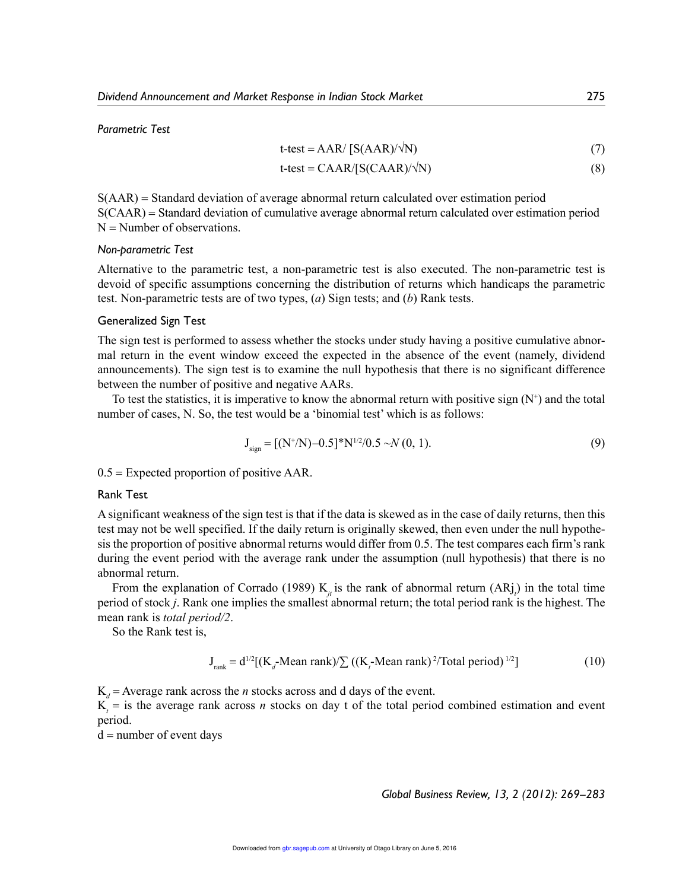*Parametric Test*

$$
t-test = AAR / [S(AAR) / N)
$$
\n(7)

$$
t-test = CAAR/[S(CAAR)/N)
$$
 (8)

S(AAR) = Standard deviation of average abnormal return calculated over estimation period S(CAAR) = Standard deviation of cumulative average abnormal return calculated over estimation period  $N =$  Number of observations.

#### *Non-parametric Test*

Alternative to the parametric test, a non-parametric test is also executed. The non-parametric test is devoid of specific assumptions concerning the distribution of returns which handicaps the parametric test. Non-parametric tests are of two types, (*a*) Sign tests; and (*b*) Rank tests.

#### Generalized Sign Test

The sign test is performed to assess whether the stocks under study having a positive cumulative abnormal return in the event window exceed the expected in the absence of the event (namely, dividend announcements). The sign test is to examine the null hypothesis that there is no significant difference between the number of positive and negative AARs.

To test the statistics, it is imperative to know the abnormal return with positive sign  $(N^+)$  and the total number of cases, N. So, the test would be a 'binomial test' which is as follows:

$$
J_{sign} = [(N^+ / N) - 0.5]^* N^{1/2} / 0.5 \sim N(0, 1).
$$
\n(9)

 $0.5$  = Expected proportion of positive AAR.

#### Rank Test

A significant weakness of the sign test is that if the data is skewed as in the case of daily returns, then this test may not be well specified. If the daily return is originally skewed, then even under the null hypothesis the proportion of positive abnormal returns would differ from 0.5. The test compares each firm's rank during the event period with the average rank under the assumption (null hypothesis) that there is no abnormal return.

From the explanation of Corrado (1989)  $K_{jt}$  is the rank of abnormal return  $(ARj_t)$  in the total time period of stock *j*. Rank one implies the smallest abnormal return; the total period rank is the highest. The mean rank is *total period/2*.

So the Rank test is,

$$
J_{\text{rank}} = d^{1/2}[(K_d \text{-Mean rank})/\sum ((K_t \text{-Mean rank})^2/\text{Total period})^{1/2}] \tag{10}
$$

 $K_d$  = Average rank across the *n* stocks across and d days of the event.

 $K<sub>t</sub>$  = is the average rank across *n* stocks on day t of the total period combined estimation and event period.

 $d =$  number of event days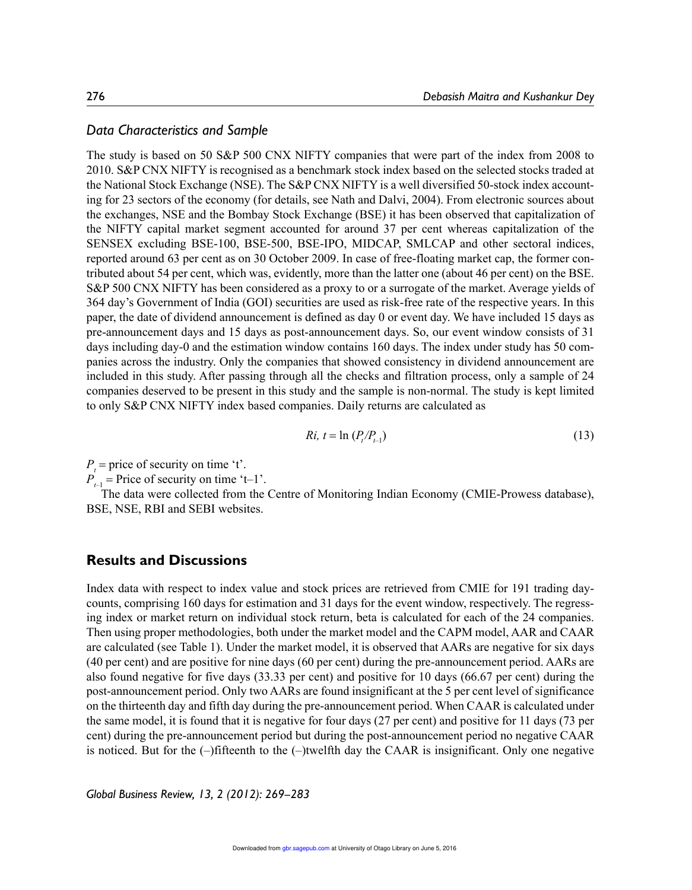### *Data Characteristics and Sample*

The study is based on 50 S&P 500 CNX NIFTY companies that were part of the index from 2008 to 2010. S&P CNX NIFTY is recognised as a benchmark stock index based on the selected stocks traded at the National Stock Exchange (NSE). The S&P CNX NIFTY is a well diversified 50-stock index accounting for 23 sectors of the economy (for details, see Nath and Dalvi, 2004). From electronic sources about the exchanges, NSE and the Bombay Stock Exchange (BSE) it has been observed that capitalization of the NIFTY capital market segment accounted for around 37 per cent whereas capitalization of the SENSEX excluding BSE-100, BSE-500, BSE-IPO, MIDCAP, SMLCAP and other sectoral indices, reported around 63 per cent as on 30 October 2009. In case of free-floating market cap, the former contributed about 54 per cent, which was, evidently, more than the latter one (about 46 per cent) on the BSE. S&P 500 CNX NIFTY has been considered as a proxy to or a surrogate of the market. Average yields of 364 day's Government of India (GOI) securities are used as risk-free rate of the respective years. In this paper, the date of dividend announcement is defined as day 0 or event day. We have included 15 days as pre-announcement days and 15 days as post-announcement days. So, our event window consists of 31 days including day-0 and the estimation window contains 160 days. The index under study has 50 companies across the industry. Only the companies that showed consistency in dividend announcement are included in this study. After passing through all the checks and filtration process, only a sample of 24 companies deserved to be present in this study and the sample is non-normal. The study is kept limited to only S&P CNX NIFTY index based companies. Daily returns are calculated as

$$
Ri, t = \ln (P_t / P_{t-1})
$$
\n(13)

 $P<sub>t</sub>$  = price of security on time 't'.

 $P_{t-1}$  = Price of security on time 't–1'.

The data were collected from the Centre of Monitoring Indian Economy (CMIE-Prowess database), BSE, NSE, RBI and SEBI websites.

### **Results and Discussions**

Index data with respect to index value and stock prices are retrieved from CMIE for 191 trading daycounts, comprising 160 days for estimation and 31 days for the event window, respectively. The regressing index or market return on individual stock return, beta is calculated for each of the 24 companies. Then using proper methodologies, both under the market model and the CAPM model, AAR and CAAR are calculated (see Table 1). Under the market model, it is observed that AARs are negative for six days (40 per cent) and are positive for nine days (60 per cent) during the pre-announcement period. AARs are also found negative for five days (33.33 per cent) and positive for 10 days (66.67 per cent) during the post-announcement period. Only two AARs are found insignificant at the 5 per cent level of significance on the thirteenth day and fifth day during the pre-announcement period. When CAAR is calculated under the same model, it is found that it is negative for four days (27 per cent) and positive for 11 days (73 per cent) during the pre-announcement period but during the post-announcement period no negative CAAR is noticed. But for the (–)fifteenth to the (–)twelfth day the CAAR is insignificant. Only one negative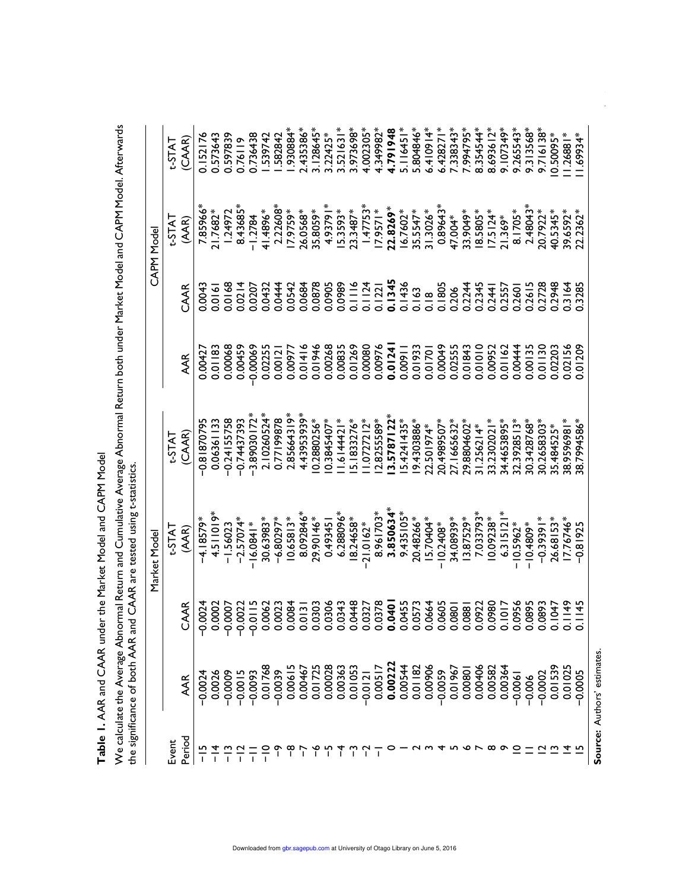| l                                                      |
|--------------------------------------------------------|
| i                                                      |
| ֝֟֝֟֝֝֝֝֝֟֝֝֝֝֝֝֝֝֝֝֝֝֝֝֝֝֝֝֝֝֝֝ <b>֟</b><br>֧֪֧֪֪֚֚֝֝ |
|                                                        |
|                                                        |
|                                                        |
| ٦                                                      |
| ļ                                                      |
| Ξ                                                      |
|                                                        |
|                                                        |
| $\vdots$                                               |

| <b>Fable 1. AAR and</b> |                                                     |           | AAR under the Market Model and CAPM Model                           | We calculate the Average Abnormal Return and Cumulative Average Abnormal Return both under Market Model and CAPM Model. Afterwards |            |                |              |               |
|-------------------------|-----------------------------------------------------|-----------|---------------------------------------------------------------------|------------------------------------------------------------------------------------------------------------------------------------|------------|----------------|--------------|---------------|
|                         |                                                     |           | the significance of both AAR and CAAR are tested using t-statistics |                                                                                                                                    |            |                |              |               |
|                         |                                                     |           | Market Model                                                        |                                                                                                                                    |            |                | CAPM Model   |               |
| Event                   |                                                     |           | t-STAT                                                              | t-STAT                                                                                                                             |            |                | <b>LSTAT</b> | <b>L-STAT</b> |
| Period                  | AAR                                                 | CAAR      | (AAR)                                                               | (CAAR)                                                                                                                             | AAR        | CAAR           | (AAR)        | (CAAR)        |
|                         | $-0.002$                                            | $-0.002$  | $-4.18579*$                                                         | $-0.81870795$                                                                                                                      | 0.0042     | 0.0043         | 7.85966      | 0.152176      |
|                         | 0.0026                                              | 0.0002    | 4.511019*                                                           | 0.06361133                                                                                                                         | 0.01183    | 0.0161         | 21.7682*     | 0.573643      |
|                         | $-0.0009$                                           | $-0.0007$ | $-1.56023$                                                          | $-0.24155758$                                                                                                                      | 0.00068    | 0.0168         | 1.24972      | 0.597839      |
|                         | $-0.0015$                                           | $-0.0022$ | $-2.57074*$                                                         | $-0.74437393$                                                                                                                      | 0.00459    | 0.0214         | 8.43685*     | 0.76119       |
| 두                       | $-0.0093$                                           | $-0.0115$ | $-16.0841*$                                                         | $-3.89030172*$                                                                                                                     | $-0.00069$ | 0.0207         | $-1.2784$    | 0.736438      |
| $\frac{1}{1}$           | ∞<br>0.0176                                         | 0.0062    | 30.63983*                                                           | 2.10260524*                                                                                                                        | 0.02255    | 0.0432         | 41.4896*     | 1.539742      |
| ၣ                       | $-0.0039$                                           | 0.0023    | $-6.80297*$                                                         | 0.77199878                                                                                                                         | 0.0012     | 0.0444         | 2.22608*     | 582842        |
|                         |                                                     | 0.0084    | $10.65813*$                                                         | 2.85664319*                                                                                                                        | 0.00977    | 0.0542         | 17.9759*     | $830884*$     |
|                         |                                                     | 0.0131    | 8.092846*                                                           | 4.43953939*                                                                                                                        | 0.01416    | 0.0684         | 26.0568*     | 2.435386*     |
|                         | 0.00615<br>0.00467<br>0.01725<br>0.00028<br>0.0172  | 0.0303    | 29.90146*                                                           | 0.2880256*                                                                                                                         | 0.01946    | 0.0878         | 35.8059*     | 3.128645*     |
|                         |                                                     | 0.0306    | 0.49345                                                             | 0.3845407*                                                                                                                         | 0.00268    | 0.0905         | 4.93791*     | 3.22425*      |
|                         | S<br>0.0036                                         | 0.0343    | 6.288096*                                                           | $1.6$   4442  *                                                                                                                    | 0.00835    | 0.0989         | 15.3593*     | 3.521631*     |
| ှ                       | 0.0105                                              | 0.0448    | 8.24658*                                                            | 5.1833276*                                                                                                                         | 0.01269    | 0.116          | 23.3487*     | 3.973698*     |
| $\tilde{a}$             | $-0.0121$                                           | 0.0327    | $-21.0162*$                                                         | $1.0727212*$                                                                                                                       | 0.00080    | 0.1124         | $1.47753*$   | $4.002305*$   |
| $\overline{1}$          | N<br>0.005                                          | 0.0378    | 8.961703*                                                           | 2.8255589*                                                                                                                         | 0.00976    | 0.1221         | $17.9571*$   | 4.349982*     |
|                         |                                                     | 0.0401    | 3.850634*                                                           | 3.5787122*                                                                                                                         | 0.0124     | 0.1345         | 22.8269*     | 4.791948      |
|                         |                                                     | 0.0455    | $9.435105*$                                                         | $5.4241435*$                                                                                                                       | 0.00911    | 0.1436         | 16.7602*     | $5.116451*$   |
| C                       | $0.00222$<br>0.00544<br>0.01182<br>0.00906          | 0.0573    | 20.48266*                                                           | 9.4303886*                                                                                                                         | 0.01933    | 0.163          | 35.5547*     | 5.804846*     |
|                         |                                                     | 0.0664    | $15.70404*$                                                         | 22.501974*                                                                                                                         | 0.01701    | $\frac{8}{10}$ | $31.3026*$   | 6.410914*     |
|                         | $-0.0059$                                           | 0.0605    | $-10.2408*$                                                         | 20.4989507*                                                                                                                        | 0.00049    | 0.1805         | $0.89643*$   | $6.428271*$   |
|                         | 0.01967<br>0.00801<br>0.00406<br>0.00364<br>0.00364 | 0.0801    | 34.08939*                                                           | 27.1665632*                                                                                                                        | 0.02555    | 0.206          | 47.004*      | 7.338343*     |
|                         |                                                     | 0.0881    | 13.87529*                                                           | 29.8804602*                                                                                                                        | 0.01843    | 0.2244         | 33.9049*     | 7.994795*     |
|                         |                                                     | 0.0922    | 7.033793*                                                           | 31.256214*                                                                                                                         | 0.01010    | 0.2345         | 18.5805*     | 8.354544*     |
|                         |                                                     | 0.0980    | 10.09238*                                                           | 33.2302021*                                                                                                                        | 0.00952    | 0.2441         | $17.5124*$   | 8.693612*     |
| $\infty$ $\infty$       |                                                     | 0.1017    | $6.315121*$                                                         | 34.4653895*                                                                                                                        | 0.01162    | 0.2557         | $21.369*$    | 9.107349*     |
|                         | $-0.006$                                            | 0.0956    | $-10.5962*$                                                         | 32.3928513*                                                                                                                        | 0.00444    | 0.2601         | 8.1705*      | 9.265543*     |
|                         | $-0.006$                                            | 0.0895    | $-10.4809*$                                                         | 30.3428768*                                                                                                                        | 0.00135    | 0.2615         | 2.48043*     | 9.313568*     |
| u w                     | $-0.0002$                                           | 0.0893    | $-0.39391*$                                                         | 30.2658303*                                                                                                                        | 0.01130    | 0.2728         | 20.7922*     | 9.716138*     |
|                         | on no<br>0.0153                                     | 0.1047    | 26.68153*                                                           | 35.484525*                                                                                                                         | 0.02203    | 0.2948         | 40.5345*     | 0.50095*      |
|                         | 0.0102                                              | 0.1149    | 17.76746*                                                           | 38.9596981*                                                                                                                        | 0.02156    | 0.3164         | 39.6592*     | $1.26881*$    |
| ഹ                       | $-0.0005$                                           | 0.1145    | $-0.81925$                                                          | 8.7994586*                                                                                                                         | 0.01209    | 0.3285         | 22.2362*     | *PE669'l      |
|                         | Source: Authors' estimates.                         |           |                                                                     |                                                                                                                                    |            |                |              |               |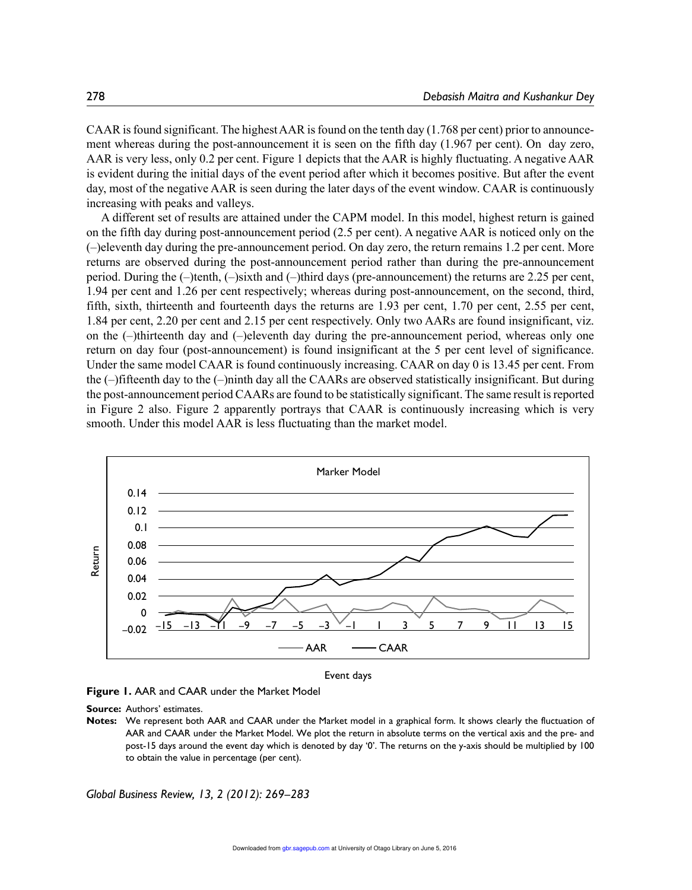CAAR is found significant. The highest AAR is found on the tenth day (1.768 per cent) prior to announcement whereas during the post-announcement it is seen on the fifth day (1.967 per cent). On day zero, AAR is very less, only 0.2 per cent. Figure 1 depicts that the AAR is highly fluctuating. A negative AAR is evident during the initial days of the event period after which it becomes positive. But after the event day, most of the negative AAR is seen during the later days of the event window. CAAR is continuously increasing with peaks and valleys.

A different set of results are attained under the CAPM model. In this model, highest return is gained on the fifth day during post-announcement period (2.5 per cent). A negative AAR is noticed only on the (–)eleventh day during the pre-announcement period. On day zero, the return remains 1.2 per cent. More returns are observed during the post-announcement period rather than during the pre-announcement period. During the (–)tenth, (–)sixth and (–)third days (pre-announcement) the returns are 2.25 per cent, 1.94 per cent and 1.26 per cent respectively; whereas during post-announcement, on the second, third, fifth, sixth, thirteenth and fourteenth days the returns are 1.93 per cent, 1.70 per cent, 2.55 per cent, 1.84 per cent, 2.20 per cent and 2.15 per cent respectively. Only two AARs are found insignificant, viz. on the (–)thirteenth day and (–)eleventh day during the pre-announcement period, whereas only one return on day four (post-announcement) is found insignificant at the 5 per cent level of significance. Under the same model CAAR is found continuously increasing. CAAR on day 0 is 13.45 per cent. From the (–)fifteenth day to the (–)ninth day all the CAARs are observed statistically insignificant. But during the post-announcement period CAARs are found to be statistically significant. The same result is reported in Figure 2 also. Figure 2 apparently portrays that CAAR is continuously increasing which is very smooth. Under this model AAR is less fluctuating than the market model.



Event days

**Figure 1.** AAR and CAAR under the Market Model

**Source:** Authors' estimates.

**Notes:** We represent both AAR and CAAR under the Market model in a graphical form. It shows clearly the fluctuation of AAR and CAAR under the Market Model. We plot the return in absolute terms on the vertical axis and the pre- and post-15 days around the event day which is denoted by day '0'. The returns on the y-axis should be multiplied by 100 to obtain the value in percentage (per cent).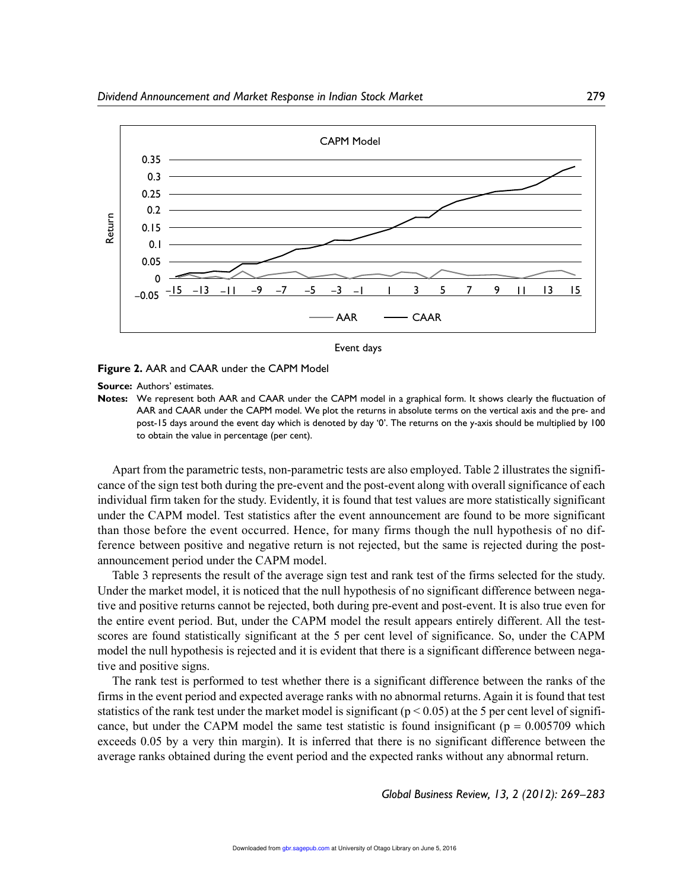

Event days



**Source:** Authors' estimates.

**Notes:** We represent both AAR and CAAR under the CAPM model in a graphical form. It shows clearly the fluctuation of AAR and CAAR under the CAPM model. We plot the returns in absolute terms on the vertical axis and the pre- and post-15 days around the event day which is denoted by day '0'. The returns on the y-axis should be multiplied by 100 to obtain the value in percentage (per cent).

Apart from the parametric tests, non-parametric tests are also employed. Table 2 illustrates the significance of the sign test both during the pre-event and the post-event along with overall significance of each individual firm taken for the study. Evidently, it is found that test values are more statistically significant under the CAPM model. Test statistics after the event announcement are found to be more significant than those before the event occurred. Hence, for many firms though the null hypothesis of no difference between positive and negative return is not rejected, but the same is rejected during the postannouncement period under the CAPM model.

Table 3 represents the result of the average sign test and rank test of the firms selected for the study. Under the market model, it is noticed that the null hypothesis of no significant difference between negative and positive returns cannot be rejected, both during pre-event and post-event. It is also true even for the entire event period. But, under the CAPM model the result appears entirely different. All the testscores are found statistically significant at the 5 per cent level of significance. So, under the CAPM model the null hypothesis is rejected and it is evident that there is a significant difference between negative and positive signs.

The rank test is performed to test whether there is a significant difference between the ranks of the firms in the event period and expected average ranks with no abnormal returns. Again it is found that test statistics of the rank test under the market model is significant ( $p < 0.05$ ) at the 5 per cent level of significance, but under the CAPM model the same test statistic is found insignificant ( $p = 0.005709$  which exceeds 0.05 by a very thin margin). It is inferred that there is no significant difference between the average ranks obtained during the event period and the expected ranks without any abnormal return.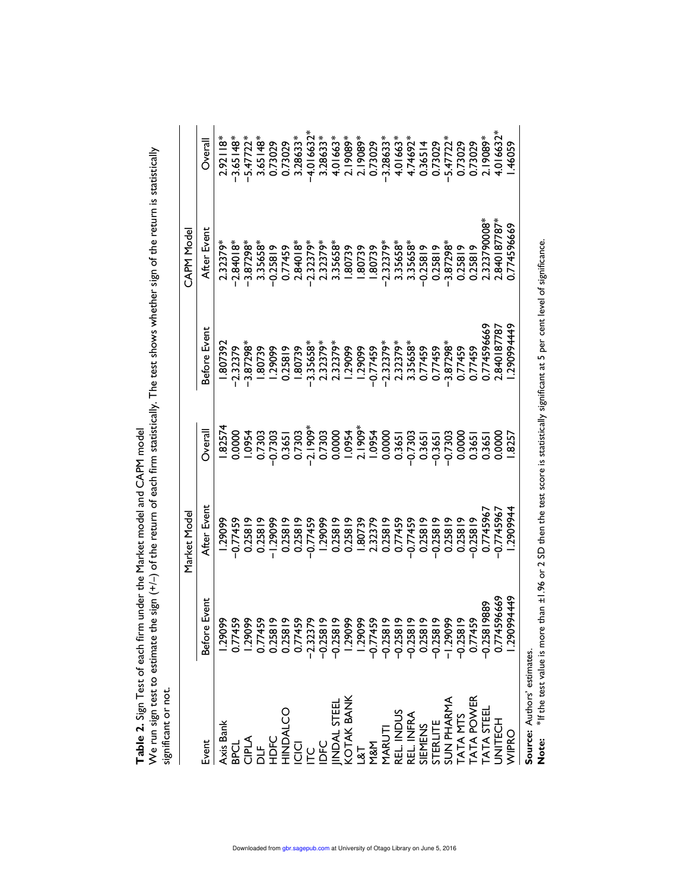| <b>Table 2.</b> Sign Test o<br>We run sign test to<br>significant or not.                                 | of each firm under the Market model and CAPM model |              |            |                                                                                                                                     | estimate the sign (+/-) of the return of each firm statistically. The test shows whether sign of the return is statistically |              |
|-----------------------------------------------------------------------------------------------------------|----------------------------------------------------|--------------|------------|-------------------------------------------------------------------------------------------------------------------------------------|------------------------------------------------------------------------------------------------------------------------------|--------------|
|                                                                                                           |                                                    | Market Model |            |                                                                                                                                     | <b>CAPM Model</b>                                                                                                            |              |
| Event                                                                                                     | Before Event                                       | After Event  | Overall    | Before Event                                                                                                                        | After Event                                                                                                                  | Overall      |
| Axis Bank                                                                                                 | .29099                                             | 1.29099      | 82574      | 1.807392                                                                                                                            | 2.32379*                                                                                                                     | $2.92118*$   |
|                                                                                                           | 0.77459                                            | $-0.77459$   | 0.000      | $-2.32379$                                                                                                                          | $-2.84018*$                                                                                                                  | $-3.65148*$  |
|                                                                                                           | .29099                                             | 0.25819      | 1.0954     | $-3.87298*$                                                                                                                         | $-3.87298*$                                                                                                                  | $-5.47722*$  |
|                                                                                                           | 0.77459                                            | 0.25819      | 0.7303     | 1.80739                                                                                                                             | 3.35658*                                                                                                                     | $3.65148*$   |
| <b>BPCL<br/>CIPLA<br/>DLF FCC<br/>HDFCC<br/>HOTAK BANK<br/>MDFCC<br/>KOTAK BANK<br/>KOTAK BANK</b>        | 0.25819                                            | $-1.29099$   | $-0.7303$  | 1.29099                                                                                                                             | $-0.25819$                                                                                                                   | 0.73029      |
|                                                                                                           | 0.25819                                            | 0.25819      | 0.3651     | 0.25819                                                                                                                             | 0.77459                                                                                                                      | 0.73029      |
|                                                                                                           | 0.77459                                            | 0.25819      | 0.7303     | 1.80739                                                                                                                             | 2.84018*                                                                                                                     | 3.28633*     |
|                                                                                                           | $-2.32379$                                         | $-0.77459$   | $-2.1909*$ | $-3.35658*$                                                                                                                         | $-2.32379*$                                                                                                                  | $-4.016632*$ |
|                                                                                                           | $-0.25819$                                         | 1.29099      | 0.7303     | 2.32379*                                                                                                                            | 2.32379*                                                                                                                     | 3.28633*     |
|                                                                                                           | $-0.25819$                                         | 0.25819      | 0.0000     | 2.32379*                                                                                                                            | 3.35658*                                                                                                                     | $4.01663*$   |
|                                                                                                           | 1.29099                                            | 0.25819      | 1.0954     | 1.29099                                                                                                                             | 80739                                                                                                                        | 2.19089*     |
|                                                                                                           | 1.29099                                            | 1.80739      | $2.1909*$  | 1.29099                                                                                                                             | 1.80739                                                                                                                      | 2.19089*     |
|                                                                                                           | $-0.77459$                                         | 2.32379      | 1.0954     | $-0.77459$                                                                                                                          | 80739                                                                                                                        | 0.73029      |
|                                                                                                           | $-0.25819$                                         | 0.25819      | 0.0000     | $-2.32379*$                                                                                                                         | $-2.32379*$                                                                                                                  | $-3.28633*$  |
|                                                                                                           | $-0.25819$                                         | 0.77459      | 0.365      | 2.32379*                                                                                                                            | 3.35658*                                                                                                                     | $4.01663*$   |
| M&M<br>MARUTI<br>REL. INFRA<br>SEMENS<br>SURILITE<br>SUN PHARMA<br>TATA POWER<br>TATA POWER<br>TATA STEEL | $-0.25819$                                         | $-0.77459$   | $-0.7303$  | 3.35658*                                                                                                                            | 3.35658*                                                                                                                     | 4.74692*     |
|                                                                                                           | 0.25819                                            | 0.25819      | 0.3651     | 0.77459                                                                                                                             | $-0.25819$                                                                                                                   | 0.36514      |
|                                                                                                           | $-0.25819$                                         | $-0.25819$   | $-0.365$   | 0.77459                                                                                                                             | 0.25819                                                                                                                      | 0.73029      |
|                                                                                                           | $-1.29099$                                         | 0.25819      | $-0.7303$  | $-3.87298*$                                                                                                                         | $-3.87298*$                                                                                                                  | $-5.47722*$  |
|                                                                                                           | $-0.25819$                                         | 0.25819      | 0.000      | 0.77459                                                                                                                             | 0.25819                                                                                                                      | 0.73029      |
|                                                                                                           | 0.77459                                            | $-0.25819$   | 0.365      | 0.77459                                                                                                                             | 0.25819                                                                                                                      | 0.73029      |
|                                                                                                           | $-0.25819889$                                      | 0.7745967    | 0.365      | 0.774596669                                                                                                                         | 2.323790008*                                                                                                                 | 2.19089*     |
|                                                                                                           | 0.774596669                                        | $-0.7745967$ | 0.0000     | 2.840187787                                                                                                                         | 2.840187787*                                                                                                                 | 4.016632*    |
| <b>VIPRO</b>                                                                                              | 6+++66067                                          | 12909944     | 8257       | 6+++66067                                                                                                                           | 0.774596669                                                                                                                  | .46059       |
| Source: Authors' estimates<br>Note:                                                                       |                                                    |              |            | *If the test value is more than ±1.96 or 2 SD then the test score is statistically significant at 5 per cent level of significance. |                                                                                                                              |              |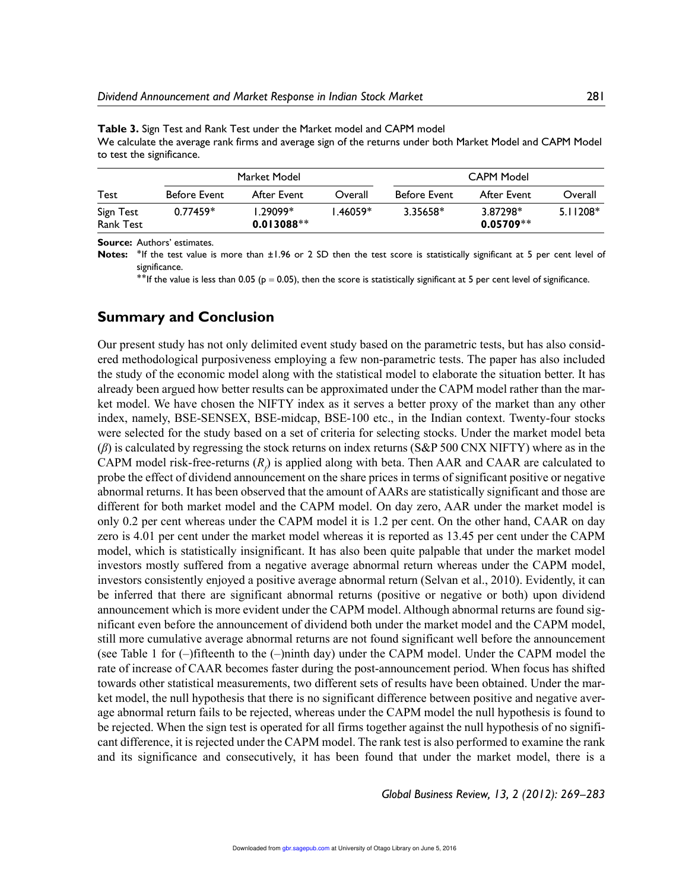|                               | Market Model        |                          |          | CAPM Model          |                         |            |
|-------------------------------|---------------------|--------------------------|----------|---------------------|-------------------------|------------|
| Test                          | <b>Before Event</b> | After Event              | Overall  | <b>Before Event</b> | After Event             | Overall    |
| Sign Test<br><b>Rank Test</b> | $0.77459*$          | l.29099*<br>$0.013088**$ | l 46059* | 3.35658*            | 3.87298*<br>$0.05709**$ | $5.11208*$ |

**Table 3.** Sign Test and Rank Test under the Market model and CAPM model We calculate the average rank firms and average sign of the returns under both Market Model and CAPM Model to test the significance.

**Source:** Authors' estimates.

**Notes:** ∗If the test value is more than ±1.96 or 2 SD then the test score is statistically significant at 5 per cent level of significance.

<sup>\*\*</sup>If the value is less than 0.05 (p = 0.05), then the score is statistically significant at 5 per cent level of significance.

### **Summary and Conclusion**

Our present study has not only delimited event study based on the parametric tests, but has also considered methodological purposiveness employing a few non-parametric tests. The paper has also included the study of the economic model along with the statistical model to elaborate the situation better. It has already been argued how better results can be approximated under the CAPM model rather than the market model. We have chosen the NIFTY index as it serves a better proxy of the market than any other index, namely, BSE-SENSEX, BSE-midcap, BSE-100 etc., in the Indian context. Twenty-four stocks were selected for the study based on a set of criteria for selecting stocks. Under the market model beta (*β*) is calculated by regressing the stock returns on index returns (S&P 500 CNX NIFTY) where as in the CAPM model risk-free-returns  $(R_f)$  is applied along with beta. Then AAR and CAAR are calculated to probe the effect of dividend announcement on the share prices in terms of significant positive or negative abnormal returns. It has been observed that the amount of AARs are statistically significant and those are different for both market model and the CAPM model. On day zero, AAR under the market model is only 0.2 per cent whereas under the CAPM model it is 1.2 per cent. On the other hand, CAAR on day zero is 4.01 per cent under the market model whereas it is reported as 13.45 per cent under the CAPM model, which is statistically insignificant. It has also been quite palpable that under the market model investors mostly suffered from a negative average abnormal return whereas under the CAPM model, investors consistently enjoyed a positive average abnormal return (Selvan et al., 2010). Evidently, it can be inferred that there are significant abnormal returns (positive or negative or both) upon dividend announcement which is more evident under the CAPM model. Although abnormal returns are found significant even before the announcement of dividend both under the market model and the CAPM model, still more cumulative average abnormal returns are not found significant well before the announcement (see Table 1 for (–)fifteenth to the (–)ninth day) under the CAPM model. Under the CAPM model the rate of increase of CAAR becomes faster during the post-announcement period. When focus has shifted towards other statistical measurements, two different sets of results have been obtained. Under the market model, the null hypothesis that there is no significant difference between positive and negative average abnormal return fails to be rejected, whereas under the CAPM model the null hypothesis is found to be rejected. When the sign test is operated for all firms together against the null hypothesis of no significant difference, it is rejected under the CAPM model. The rank test is also performed to examine the rank and its significance and consecutively, it has been found that under the market model, there is a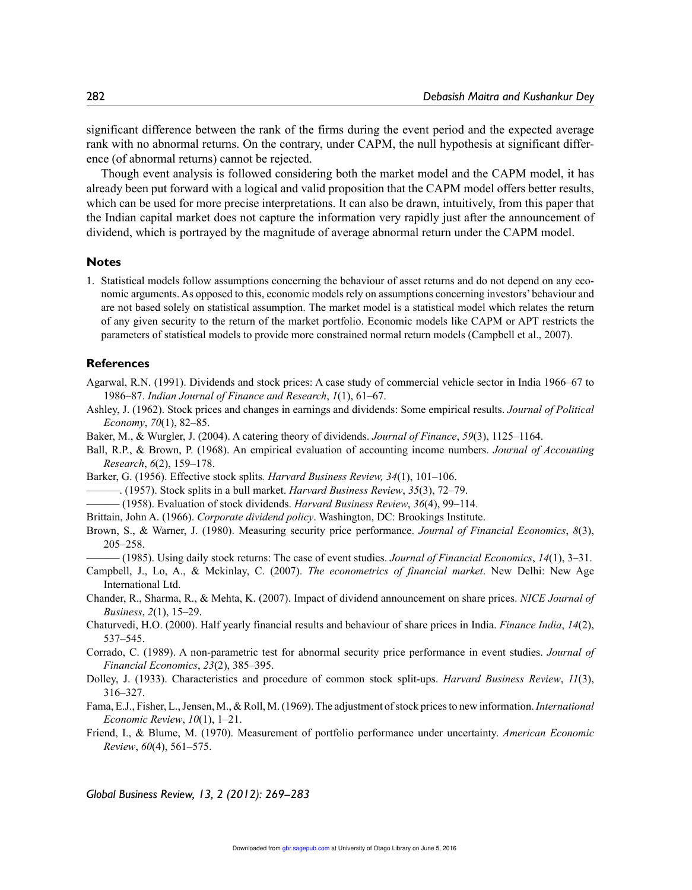significant difference between the rank of the firms during the event period and the expected average rank with no abnormal returns. On the contrary, under CAPM, the null hypothesis at significant difference (of abnormal returns) cannot be rejected.

Though event analysis is followed considering both the market model and the CAPM model, it has already been put forward with a logical and valid proposition that the CAPM model offers better results, which can be used for more precise interpretations. It can also be drawn, intuitively, from this paper that the Indian capital market does not capture the information very rapidly just after the announcement of dividend, which is portrayed by the magnitude of average abnormal return under the CAPM model.

#### **Notes**

1. Statistical models follow assumptions concerning the behaviour of asset returns and do not depend on any economic arguments. As opposed to this, economic models rely on assumptions concerning investors' behaviour and are not based solely on statistical assumption. The market model is a statistical model which relates the return of any given security to the return of the market portfolio. Economic models like CAPM or APT restricts the parameters of statistical models to provide more constrained normal return models (Campbell et al., 2007).

#### **References**

Agarwal, R.N. (1991). Dividends and stock prices: A case study of commercial vehicle sector in India 1966–67 to 1986–87. *Indian Journal of Finance and Research*, *1*(1), 61–67.

- Ashley, J. (1962). Stock prices and changes in earnings and dividends: Some empirical results. *Journal of Political Economy*, *70*(1), 82–85.
- Baker, M., & Wurgler, J. (2004). A catering theory of dividends. *Journal of Finance*, *59*(3), 1125–1164.
- Ball, R.P., & Brown, P. (1968). An empirical evaluation of accounting income numbers. *Journal of Accounting Research*, *6*(2), 159–178.
- Barker, G. (1956). Effective stock splits*. Harvard Business Review, 34*(1), 101–106.
- ———. (1957). Stock splits in a bull market. *Harvard Business Review*, *35*(3), 72–79.
- ——— (1958). Evaluation of stock dividends. *Harvard Business Review*, *36*(4), 99–114.
- Brittain, John A. (1966). *Corporate dividend policy*. Washington, DC: Brookings Institute.
- Brown, S., & Warner, J. (1980). Measuring security price performance. *Journal of Financial Economics*, *8*(3), 205–258.
- ——— (1985). Using daily stock returns: The case of event studies. *Journal of Financial Economics*, *14*(1), 3–31.

Campbell, J., Lo, A., & Mckinlay, C. (2007). *The econometrics of financial market*. New Delhi: New Age International Ltd.

- Chander, R., Sharma, R., & Mehta, K. (2007). Impact of dividend announcement on share prices. *NICE Journal of Business*, *2*(1), 15–29.
- Chaturvedi, H.O. (2000). Half yearly financial results and behaviour of share prices in India. *Finance India*, *14*(2), 537–545.
- Corrado, C. (1989). A non-parametric test for abnormal security price performance in event studies. *Journal of Financial Economics*, *23*(2), 385–395.
- Dolley, J. (1933). Characteristics and procedure of common stock split-ups. *Harvard Business Review*, *11*(3), 316–327.
- Fama, E.J., Fisher, L., Jensen, M., & Roll, M. (1969). The adjustment of stock prices to new information. *International Economic Review*, *10*(1), 1–21.
- Friend, I., & Blume, M. (1970). Measurement of portfolio performance under uncertainty. *American Economic Review*, *60*(4), 561–575.